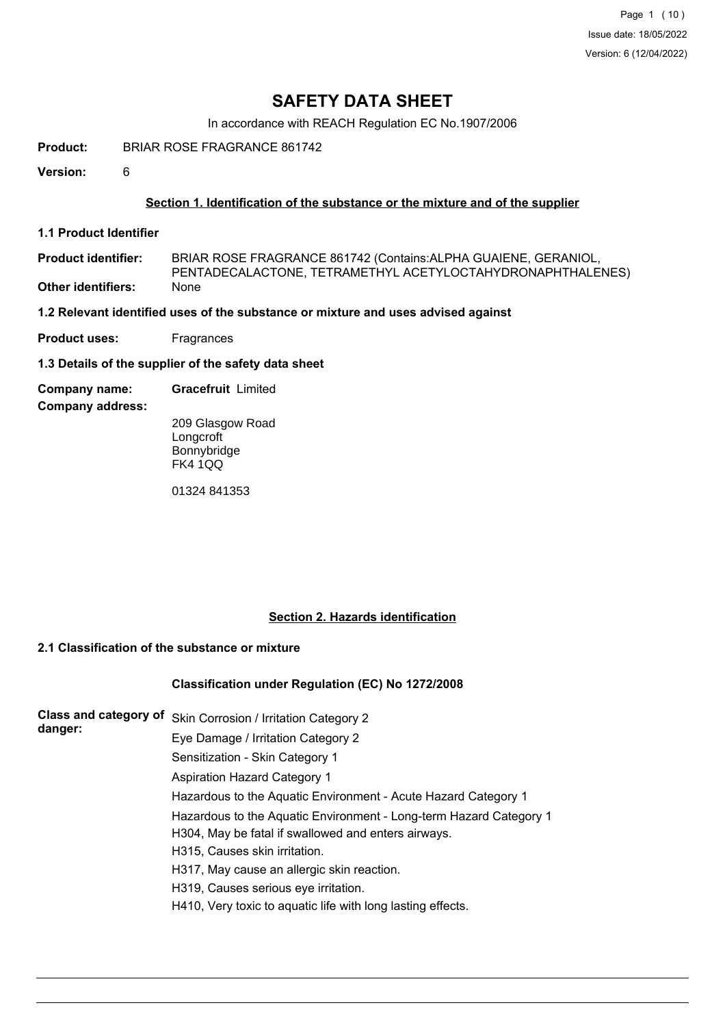Page 1 (10) Issue date: 18/05/2022 Version: 6 (12/04/2022)

# **SAFETY DATA SHEET**

In accordance with REACH Regulation EC No.1907/2006

**Product:** BRIAR ROSE FRAGRANCE 861742

**Version:** 6

# **Section 1. Identification of the substance or the mixture and of the supplier**

**1.1 Product Identifier**

BRIAR ROSE FRAGRANCE 861742 (Contains:ALPHA GUAIENE, GERANIOL, PENTADECALACTONE, TETRAMETHYL ACETYLOCTAHYDRONAPHTHALENES) **Product identifier: Other identifiers:** None

## **1.2 Relevant identified uses of the substance or mixture and uses advised against**

**Product uses:** Fragrances

**1.3 Details of the supplier of the safety data sheet**

**Company name: Gracefruit** Limited

**Company address:**

209 Glasgow Road **Longcroft** Bonnybridge FK4 1QQ

01324 841353

## **Section 2. Hazards identification**

# **2.1 Classification of the substance or mixture**

## **Classification under Regulation (EC) No 1272/2008**

| <b>Class and category of</b><br>danger: | Skin Corrosion / Irritation Category 2                             |
|-----------------------------------------|--------------------------------------------------------------------|
|                                         | Eye Damage / Irritation Category 2                                 |
|                                         | Sensitization - Skin Category 1                                    |
|                                         | <b>Aspiration Hazard Category 1</b>                                |
|                                         | Hazardous to the Aquatic Environment - Acute Hazard Category 1     |
|                                         | Hazardous to the Aquatic Environment - Long-term Hazard Category 1 |
|                                         | H304, May be fatal if swallowed and enters airways.                |
|                                         | H315, Causes skin irritation.                                      |
|                                         | H317, May cause an allergic skin reaction.                         |
|                                         | H319, Causes serious eye irritation.                               |
|                                         | H410, Very toxic to aquatic life with long lasting effects.        |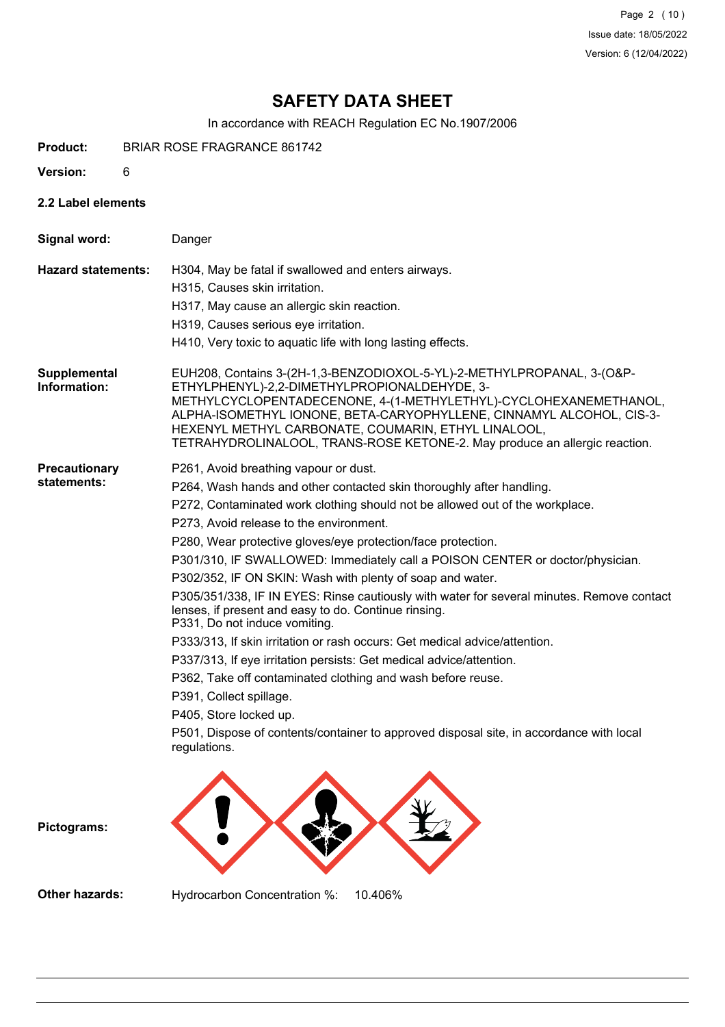Page 2 (10) Issue date: 18/05/2022 Version: 6 (12/04/2022)

# **SAFETY DATA SHEET**

In accordance with REACH Regulation EC No.1907/2006

- **Product:** BRIAR ROSE FRAGRANCE 861742
- **Version:** 6
- **2.2 Label elements**

| Signal word:                        | Danger                                                                                                                                                                                                                                                                                                                                                                                                                                                                                                                                                                                                                                                                                                                                                                                                                                                                                                                                                                                                                           |
|-------------------------------------|----------------------------------------------------------------------------------------------------------------------------------------------------------------------------------------------------------------------------------------------------------------------------------------------------------------------------------------------------------------------------------------------------------------------------------------------------------------------------------------------------------------------------------------------------------------------------------------------------------------------------------------------------------------------------------------------------------------------------------------------------------------------------------------------------------------------------------------------------------------------------------------------------------------------------------------------------------------------------------------------------------------------------------|
| <b>Hazard statements:</b>           | H304, May be fatal if swallowed and enters airways.<br>H315, Causes skin irritation.<br>H317, May cause an allergic skin reaction.<br>H319, Causes serious eye irritation.<br>H410, Very toxic to aquatic life with long lasting effects.                                                                                                                                                                                                                                                                                                                                                                                                                                                                                                                                                                                                                                                                                                                                                                                        |
| Supplemental<br>Information:        | EUH208, Contains 3-(2H-1,3-BENZODIOXOL-5-YL)-2-METHYLPROPANAL, 3-(O&P-<br>ETHYLPHENYL)-2,2-DIMETHYLPROPIONALDEHYDE, 3-<br>METHYLCYCLOPENTADECENONE, 4-(1-METHYLETHYL)-CYCLOHEXANEMETHANOL,<br>ALPHA-ISOMETHYL IONONE, BETA-CARYOPHYLLENE, CINNAMYL ALCOHOL, CIS-3-<br>HEXENYL METHYL CARBONATE, COUMARIN, ETHYL LINALOOL,<br>TETRAHYDROLINALOOL, TRANS-ROSE KETONE-2. May produce an allergic reaction.                                                                                                                                                                                                                                                                                                                                                                                                                                                                                                                                                                                                                          |
| <b>Precautionary</b><br>statements: | P261, Avoid breathing vapour or dust.<br>P264, Wash hands and other contacted skin thoroughly after handling.<br>P272, Contaminated work clothing should not be allowed out of the workplace.<br>P273, Avoid release to the environment.<br>P280, Wear protective gloves/eye protection/face protection.<br>P301/310, IF SWALLOWED: Immediately call a POISON CENTER or doctor/physician.<br>P302/352, IF ON SKIN: Wash with plenty of soap and water.<br>P305/351/338, IF IN EYES: Rinse cautiously with water for several minutes. Remove contact<br>lenses, if present and easy to do. Continue rinsing.<br>P331, Do not induce vomiting.<br>P333/313, If skin irritation or rash occurs: Get medical advice/attention.<br>P337/313, If eye irritation persists: Get medical advice/attention.<br>P362, Take off contaminated clothing and wash before reuse.<br>P391, Collect spillage.<br>P405, Store locked up.<br>P501, Dispose of contents/container to approved disposal site, in accordance with local<br>regulations. |
| Pictograms:                         |                                                                                                                                                                                                                                                                                                                                                                                                                                                                                                                                                                                                                                                                                                                                                                                                                                                                                                                                                                                                                                  |
| Other hazards:                      | Hydrocarbon Concentration %:<br>10.406%                                                                                                                                                                                                                                                                                                                                                                                                                                                                                                                                                                                                                                                                                                                                                                                                                                                                                                                                                                                          |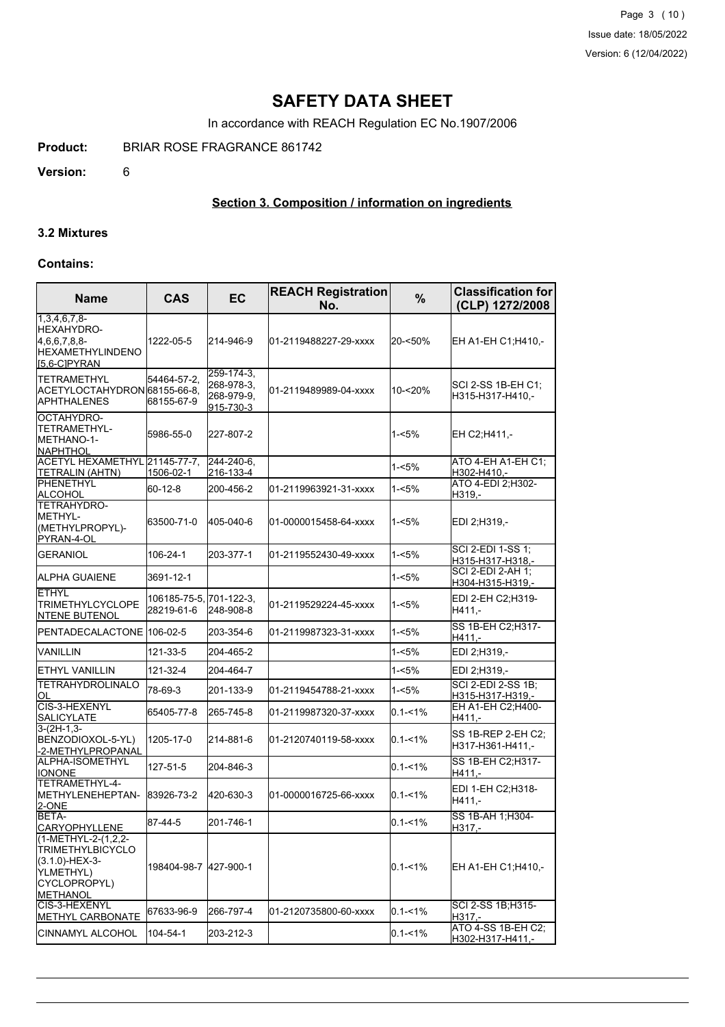Page 3 (10) Issue date: 18/05/2022 Version: 6 (12/04/2022)

# **SAFETY DATA SHEET**

In accordance with REACH Regulation EC No.1907/2006

**Product:** BRIAR ROSE FRAGRANCE 861742

**Version:** 6

# **Section 3. Composition / information on ingredients**

# **3.2 Mixtures**

#### **Contains:**

| <b>Name</b>                                                                                                      | <b>CAS</b>                            | EC                                                  | <b>REACH Registration</b><br>No. | $\%$        | <b>Classification for</b><br>(CLP) 1272/2008  |  |
|------------------------------------------------------------------------------------------------------------------|---------------------------------------|-----------------------------------------------------|----------------------------------|-------------|-----------------------------------------------|--|
| $1,3,4,6,7,8$ -<br>HEXAHYDRO-<br>4,6,6,7,8,8-<br>HEXAMETHYLINDENO<br>[5,6-C]PYRAN                                | 1222-05-5                             | 214-946-9                                           | l01-2119488227-29-xxxx           | 20-<50%     | EH A1-EH C1;H410,-                            |  |
| <b>TETRAMETHYL</b><br>ACETYLOCTAHYDRON 68155-66-8.<br><b>APHTHALENES</b>                                         | 54464-57-2,<br>68155-67-9             | 259-174-3.<br>268-978-3.<br>268-979-9,<br>915-730-3 | 01-2119489989-04-xxxx            | 10-<20%     | SCI 2-SS 1B-EH C1;<br>H315-H317-H410,-        |  |
| OCTAHYDRO-<br>TETRAMETHYL-<br>METHANO-1-<br><b>NAPHTHOL</b>                                                      | 5986-55-0                             | 227-807-2                                           |                                  | $1 - 5%$    | EH C2;H411,-                                  |  |
| ACETYL HEXAMETHYL 21145-77-7,<br>TETRALIN (AHTN)                                                                 | 1506-02-1                             | 244-240-6.<br>216-133-4                             |                                  | $1 - 5%$    | ATO 4-EH A1-EH C1:<br>H302-H410,-             |  |
| IPHENETHYL<br>ALCOHOL                                                                                            | 60-12-8                               | 200-456-2                                           | 01-2119963921-31-xxxx            | $1 - 5%$    | ATO 4-EDI 2; H302-<br>H319,-                  |  |
| TETRAHYDRO-<br>METHYL-<br>(METHYLPROPYL)-<br>PYRAN-4-OL                                                          | 63500-71-0                            | 405-040-6                                           | 01-0000015458-64-xxxx            | $1 - 5%$    | EDI 2;H319,-                                  |  |
| <b>GERANIOL</b>                                                                                                  | 106-24-1                              | 203-377-1                                           | 01-2119552430-49-xxxx            | 1-<5%       | SCI 2-EDI 1-SS 1;<br>H315-H317-H318,-         |  |
| ALPHA GUAIENE                                                                                                    | 3691-12-1                             |                                                     |                                  | 1-<5%       | SCI 2-EDI 2-AH 1;<br>H304-H315-H319,-         |  |
| <b>ETHYL</b><br><b>TRIMETHYLCYCLOPE</b><br><b>I</b> NTENE BUTENOL                                                | 106185-75-5, 701-122-3,<br>28219-61-6 | 248-908-8                                           | 01-2119529224-45-xxxx            | $1 - 5%$    | EDI 2-EH C2:H319-<br>H411,-                   |  |
| PENTADECALACTONE 106-02-5                                                                                        |                                       | 203-354-6                                           | 01-2119987323-31-xxxx            | 1-<5%       | SS 1B-EH C2; H317-<br>H411,-                  |  |
| VANILLIN                                                                                                         | 121-33-5                              | 204-465-2                                           |                                  | 1-<5%       | EDI 2;H319,-                                  |  |
| ETHYL VANILLIN                                                                                                   | 121-32-4                              | 204-464-7                                           |                                  | 1-<5%       | EDI 2;H319,-                                  |  |
| <b>TETRAHYDROLINALO</b><br>OL                                                                                    | 78-69-3                               | 201-133-9                                           | 01-2119454788-21-xxxx            | $1 - 5%$    | <b>SCI 2-EDI 2-SS 1B;</b><br>H315-H317-H319,- |  |
| CIS-3-HEXENYL<br>SALICYLATE                                                                                      | 65405-77-8                            | 265-745-8                                           | l01-2119987320-37-xxxx           | $0.1 - 1%$  | EH A1-EH C2; H400-<br>H411,-                  |  |
| $3-(2H-1,3-$<br>BENZODIOXOL-5-YL)<br>-2-METHYLPROPANAL                                                           | 1205-17-0                             | 214-881-6                                           | 01-2120740119-58-xxxx            | $0.1 - 1%$  | SS 1B-REP 2-EH C2:<br>H317-H361-H411,-        |  |
| ALPHA-ISOMETHYL<br><b>IONONE</b>                                                                                 | 127-51-5                              | 204-846-3                                           |                                  | $0.1 - 1\%$ | SS 1B-EH C2; H317-<br>H411.-                  |  |
| TETRAMETHYL-4-<br>METHYLENEHEPTAN-<br>2-ONE                                                                      | 83926-73-2                            | 420-630-3                                           | 01-0000016725-66-xxxx            | $0.1 - 1%$  | EDI 1-EH C2;H318-<br>H411,-                   |  |
| BETA-<br><b>CARYOPHYLLENE</b>                                                                                    | 87-44-5                               | 201-746-1                                           |                                  | $0.1 - 1%$  | SS 1B-AH 1; H304-<br>H317,-                   |  |
| (1-METHYL-2-(1,2,2-<br><b>TRIMETHYLBICYCLO</b><br>(3.1.0)-HEX-3-<br>YLMETHYL)<br>CYCLOPROPYL)<br><b>METHANOL</b> | 198404-98-7                           | 427-900-1                                           |                                  | $0.1 - 1%$  | EH A1-EH C1;H410,-                            |  |
| CIS-3-HEXENYL<br> METHYL CARBONATE                                                                               | 67633-96-9                            | 266-797-4                                           | 01-2120735800-60-xxxx            | $0.1 - 1%$  | SCI 2-SS 1B;H315-<br>H317,-                   |  |
| CINNAMYL ALCOHOL                                                                                                 | 104-54-1                              | 203-212-3                                           |                                  | $0.1 - 1\%$ | ATO 4-SS 1B-EH C2;<br>H302-H317-H411,-        |  |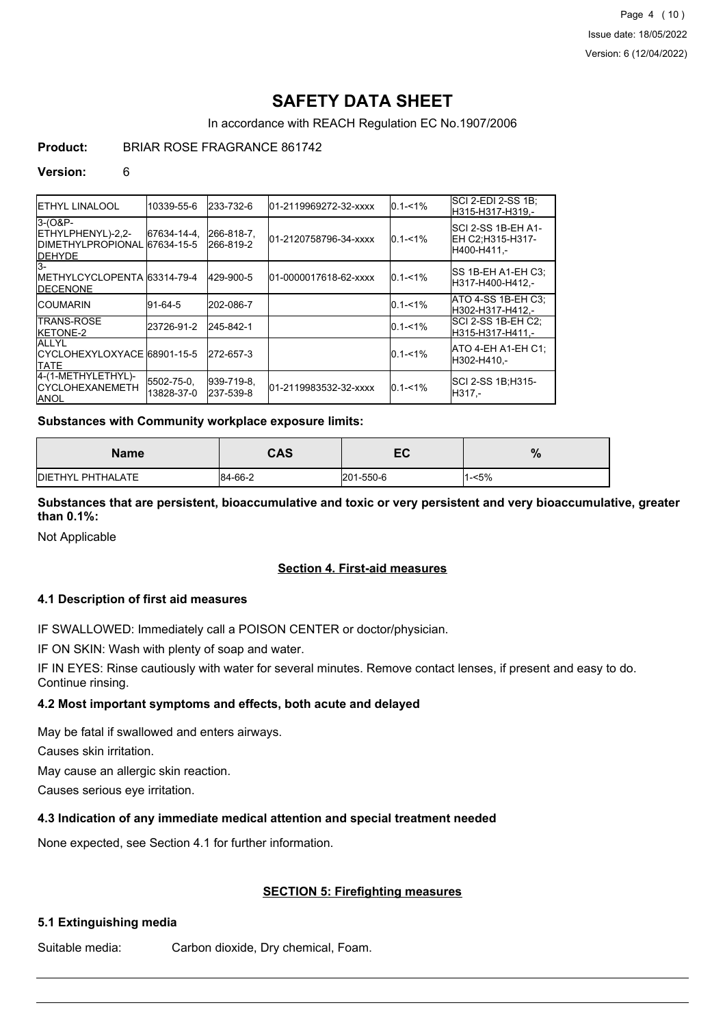Page 4 (10) Issue date: 18/05/2022 Version: 6 (12/04/2022)

# **SAFETY DATA SHEET**

In accordance with REACH Regulation EC No.1907/2006

# **Product:** BRIAR ROSE FRAGRANCE 861742

#### **Version:** 6

| <b>IETHYL LINALOOL</b>                                                            | 10339-55-6               | 233-732-6                | 01-2119969272-32-xxxx | $0.1 - 1\%$ | SCI 2-EDI 2-SS 1B;<br>IH315-H317-H319.-                |
|-----------------------------------------------------------------------------------|--------------------------|--------------------------|-----------------------|-------------|--------------------------------------------------------|
| $3-(0&P-$<br>ETHYLPHENYL)-2,2-<br>IDIMETHYLPROPIONAL 67634-15-5<br><b>IDEHYDE</b> | 67634-14-4.              | 266-818-7.<br> 266-819-2 | 01-2120758796-34-xxxx | $0.1 - 1\%$ | ISCI 2-SS 1B-EH A1-<br>EH C2:H315-H317-<br>H400-H411.- |
| $\overline{3}$ -<br>IMETHYLCYCLOPENTA 63314-79-4<br><b>IDECENONE</b>              |                          | 429-900-5                | 01-0000017618-62-xxxx | $0.1 - 1\%$ | ISS 1B-EH A1-EH C3:<br>H317-H400-H412,-                |
| <b>ICOUMARIN</b>                                                                  | 91-64-5                  | 202-086-7                |                       | $0.1 - 1\%$ | ATO 4-SS 1B-EH C3:<br>H302-H317-H412.-                 |
| ITRANS-ROSE<br><b>IKETONE-2</b>                                                   | 23726-91-2               | 245-842-1                |                       | $0.1 - 1\%$ | ISCI 2-SS 1B-EH C2:<br>H315-H317-H411.-                |
| <b>ALLYL</b><br>ICYCLOHEXYLOXYACE 68901-15-5<br><b>ITATE</b>                      |                          | 272-657-3                |                       | $0.1 - 1\%$ | IATO 4-EH A1-EH C1:<br>H302-H410,-                     |
| 4-(1-METHYLETHYL)-<br><b>ICYCLOHEXANEMETH</b><br><b>JANOL</b>                     | 5502-75-0.<br>13828-37-0 | 939-719-8.<br>237-539-8  | 01-2119983532-32-xxxx | $0.1 - 1\%$ | ISCI 2-SS 1B:H315-<br>H317.-                           |

## **Substances with Community workplace exposure limits:**

| Name                      | CAS     | - -<br>cv | $\mathbf{a}$<br>70 |
|---------------------------|---------|-----------|--------------------|
| <b>IDIETHYL PHTHALATE</b> | 84-66-2 | 201-550-6 | $-5%$              |

**Substances that are persistent, bioaccumulative and toxic or very persistent and very bioaccumulative, greater than 0.1%:**

Not Applicable

## **Section 4. First-aid measures**

## **4.1 Description of first aid measures**

IF SWALLOWED: Immediately call a POISON CENTER or doctor/physician.

IF ON SKIN: Wash with plenty of soap and water.

IF IN EYES: Rinse cautiously with water for several minutes. Remove contact lenses, if present and easy to do. Continue rinsing.

# **4.2 Most important symptoms and effects, both acute and delayed**

May be fatal if swallowed and enters airways.

Causes skin irritation.

May cause an allergic skin reaction.

Causes serious eye irritation.

## **4.3 Indication of any immediate medical attention and special treatment needed**

None expected, see Section 4.1 for further information.

## **SECTION 5: Firefighting measures**

## **5.1 Extinguishing media**

Suitable media: Carbon dioxide, Dry chemical, Foam.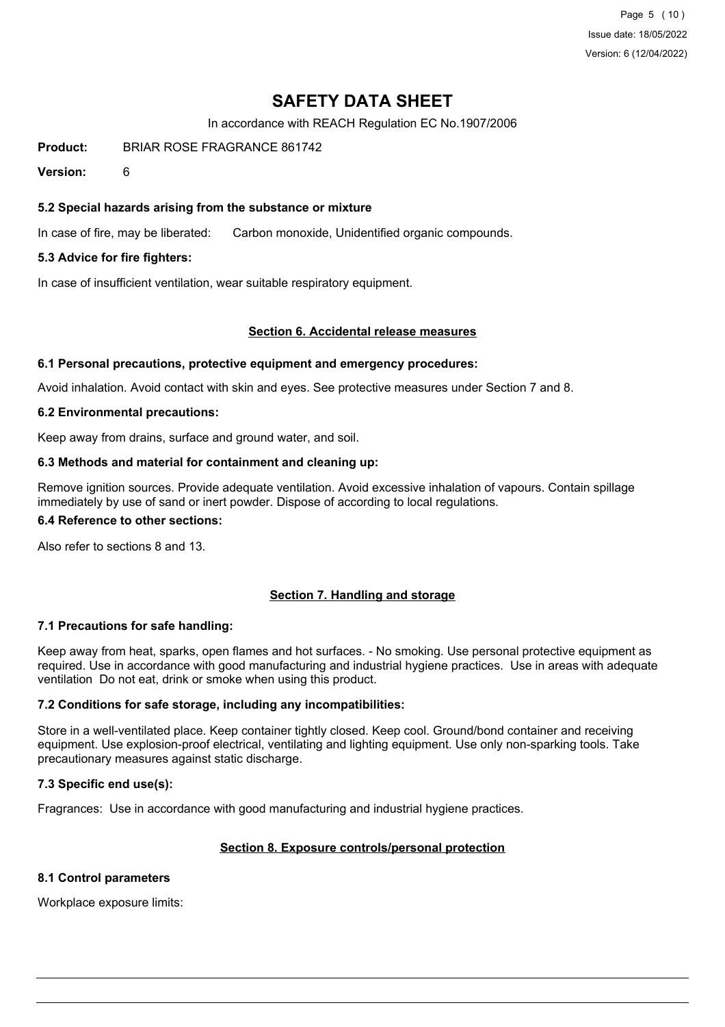Page 5 (10) Issue date: 18/05/2022 Version: 6 (12/04/2022)

# **SAFETY DATA SHEET**

In accordance with REACH Regulation EC No.1907/2006

**Product:** BRIAR ROSE FRAGRANCE 861742

**Version:** 6

# **5.2 Special hazards arising from the substance or mixture**

In case of fire, may be liberated: Carbon monoxide, Unidentified organic compounds.

# **5.3 Advice for fire fighters:**

In case of insufficient ventilation, wear suitable respiratory equipment.

#### **Section 6. Accidental release measures**

#### **6.1 Personal precautions, protective equipment and emergency procedures:**

Avoid inhalation. Avoid contact with skin and eyes. See protective measures under Section 7 and 8.

#### **6.2 Environmental precautions:**

Keep away from drains, surface and ground water, and soil.

#### **6.3 Methods and material for containment and cleaning up:**

Remove ignition sources. Provide adequate ventilation. Avoid excessive inhalation of vapours. Contain spillage immediately by use of sand or inert powder. Dispose of according to local regulations.

#### **6.4 Reference to other sections:**

Also refer to sections 8 and 13.

## **Section 7. Handling and storage**

## **7.1 Precautions for safe handling:**

Keep away from heat, sparks, open flames and hot surfaces. - No smoking. Use personal protective equipment as required. Use in accordance with good manufacturing and industrial hygiene practices. Use in areas with adequate ventilation Do not eat, drink or smoke when using this product.

## **7.2 Conditions for safe storage, including any incompatibilities:**

Store in a well-ventilated place. Keep container tightly closed. Keep cool. Ground/bond container and receiving equipment. Use explosion-proof electrical, ventilating and lighting equipment. Use only non-sparking tools. Take precautionary measures against static discharge.

## **7.3 Specific end use(s):**

Fragrances: Use in accordance with good manufacturing and industrial hygiene practices.

## **Section 8. Exposure controls/personal protection**

#### **8.1 Control parameters**

Workplace exposure limits: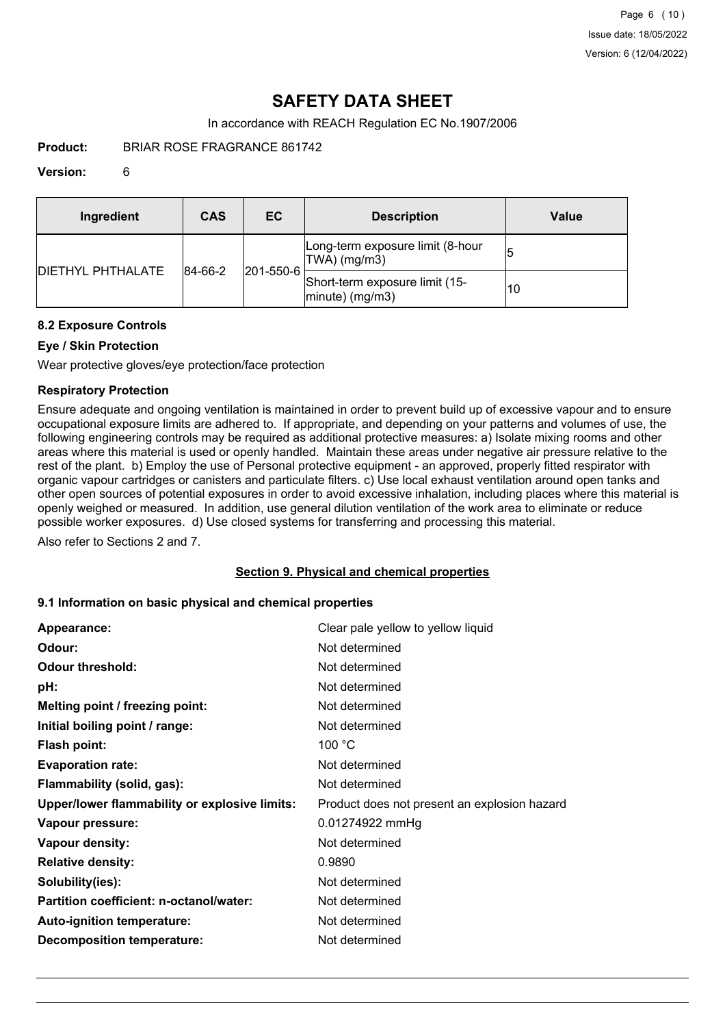# **SAFETY DATA SHEET**

In accordance with REACH Regulation EC No.1907/2006

**Product:** BRIAR ROSE FRAGRANCE 861742

## **Version:** 6

| Ingredient                | CAS     | EC                | <b>Description</b>                                   | Value |
|---------------------------|---------|-------------------|------------------------------------------------------|-------|
|                           |         |                   | Long-term exposure limit (8-hour<br>TWA) (mg/m3)     |       |
| <b>IDIETHYL PHTHALATE</b> | 84-66-2 | $ 201 - 550 - 6 $ | Short-term exposure limit (15-<br>$ minute)$ (mg/m3) | 10    |

# **8.2 Exposure Controls**

# **Eye / Skin Protection**

Wear protective gloves/eye protection/face protection

# **Respiratory Protection**

Ensure adequate and ongoing ventilation is maintained in order to prevent build up of excessive vapour and to ensure occupational exposure limits are adhered to. If appropriate, and depending on your patterns and volumes of use, the following engineering controls may be required as additional protective measures: a) Isolate mixing rooms and other areas where this material is used or openly handled. Maintain these areas under negative air pressure relative to the rest of the plant. b) Employ the use of Personal protective equipment - an approved, properly fitted respirator with organic vapour cartridges or canisters and particulate filters. c) Use local exhaust ventilation around open tanks and other open sources of potential exposures in order to avoid excessive inhalation, including places where this material is openly weighed or measured. In addition, use general dilution ventilation of the work area to eliminate or reduce possible worker exposures. d) Use closed systems for transferring and processing this material.

Also refer to Sections 2 and 7.

## **Section 9. Physical and chemical properties**

## **9.1 Information on basic physical and chemical properties**

| Appearance:                                   | Clear pale yellow to yellow liquid           |
|-----------------------------------------------|----------------------------------------------|
| Odour:                                        | Not determined                               |
| <b>Odour threshold:</b>                       | Not determined                               |
| pH:                                           | Not determined                               |
| Melting point / freezing point:               | Not determined                               |
| Initial boiling point / range:                | Not determined                               |
| <b>Flash point:</b>                           | 100 $^{\circ}$ C                             |
| <b>Evaporation rate:</b>                      | Not determined                               |
| Flammability (solid, gas):                    | Not determined                               |
| Upper/lower flammability or explosive limits: | Product does not present an explosion hazard |
| Vapour pressure:                              | 0.01274922 mmHg                              |
| Vapour density:                               | Not determined                               |
| <b>Relative density:</b>                      | 0.9890                                       |
| Solubility(ies):                              | Not determined                               |
| Partition coefficient: n-octanol/water:       | Not determined                               |
| Auto-ignition temperature:                    | Not determined                               |
| <b>Decomposition temperature:</b>             | Not determined                               |
|                                               |                                              |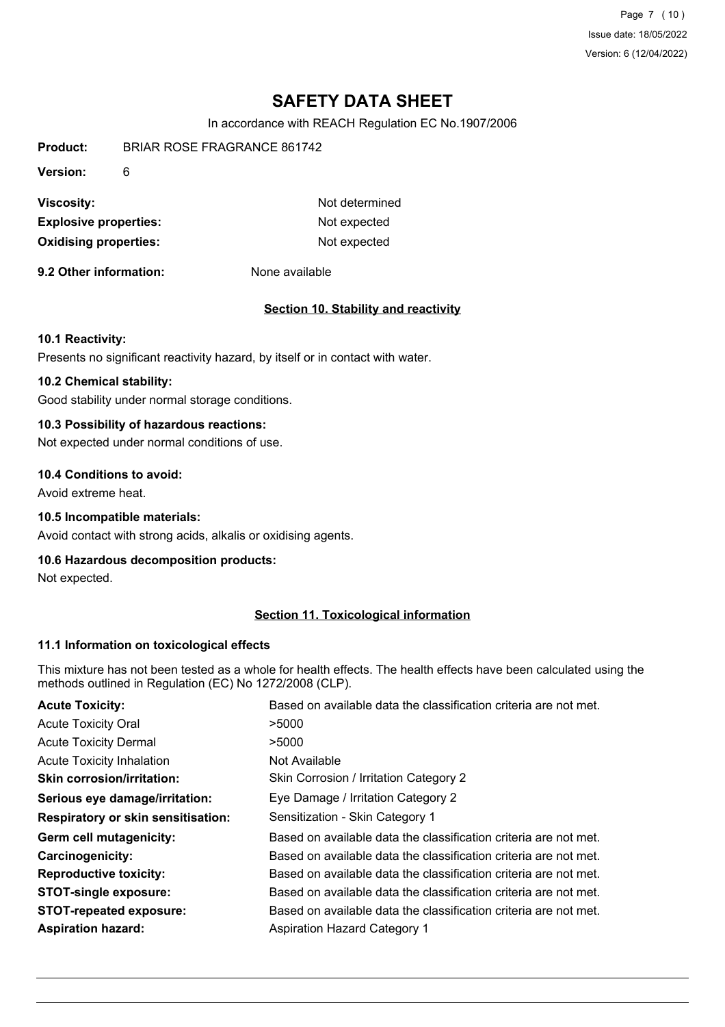Page 7 (10) Issue date: 18/05/2022 Version: 6 (12/04/2022)

# **SAFETY DATA SHEET**

In accordance with REACH Regulation EC No.1907/2006

| <b>Oxidising properties:</b> |                                    | Not expected   |
|------------------------------|------------------------------------|----------------|
| <b>Explosive properties:</b> |                                    | Not expected   |
| Viscosity:                   |                                    | Not determined |
| Version:                     | 6                                  |                |
| Product:                     | <b>BRIAR ROSE FRAGRANCE 861742</b> |                |

**9.2 Other information:** None available

## **Section 10. Stability and reactivity**

#### **10.1 Reactivity:**

Presents no significant reactivity hazard, by itself or in contact with water.

# **10.2 Chemical stability:**

Good stability under normal storage conditions.

# **10.3 Possibility of hazardous reactions:**

Not expected under normal conditions of use.

# **10.4 Conditions to avoid:**

Avoid extreme heat.

# **10.5 Incompatible materials:**

Avoid contact with strong acids, alkalis or oxidising agents.

#### **10.6 Hazardous decomposition products:**

Not expected.

# **Section 11. Toxicological information**

#### **11.1 Information on toxicological effects**

This mixture has not been tested as a whole for health effects. The health effects have been calculated using the methods outlined in Regulation (EC) No 1272/2008 (CLP).

| <b>Acute Toxicity:</b>                    | Based on available data the classification criteria are not met. |
|-------------------------------------------|------------------------------------------------------------------|
| <b>Acute Toxicity Oral</b>                | >5000                                                            |
| <b>Acute Toxicity Dermal</b>              | >5000                                                            |
| <b>Acute Toxicity Inhalation</b>          | Not Available                                                    |
| <b>Skin corrosion/irritation:</b>         | Skin Corrosion / Irritation Category 2                           |
| Serious eye damage/irritation:            | Eye Damage / Irritation Category 2                               |
| <b>Respiratory or skin sensitisation:</b> | Sensitization - Skin Category 1                                  |
| Germ cell mutagenicity:                   | Based on available data the classification criteria are not met. |
| <b>Carcinogenicity:</b>                   | Based on available data the classification criteria are not met. |
| <b>Reproductive toxicity:</b>             | Based on available data the classification criteria are not met. |
| <b>STOT-single exposure:</b>              | Based on available data the classification criteria are not met. |
| <b>STOT-repeated exposure:</b>            | Based on available data the classification criteria are not met. |
| <b>Aspiration hazard:</b>                 | <b>Aspiration Hazard Category 1</b>                              |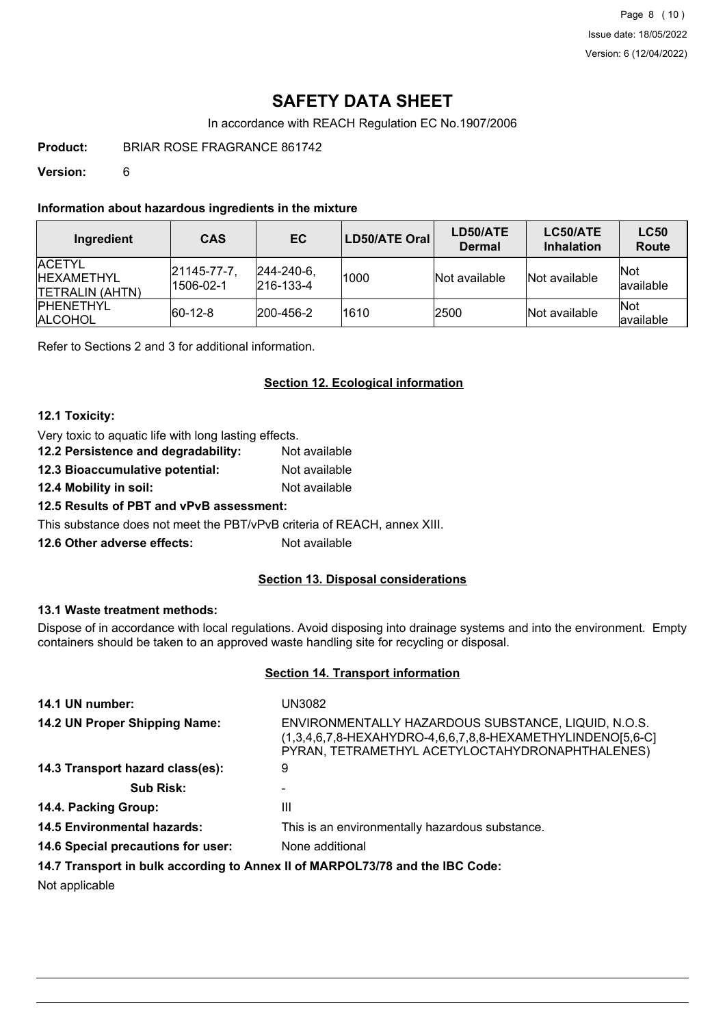Page 8 (10) Issue date: 18/05/2022 Version: 6 (12/04/2022)

# **SAFETY DATA SHEET**

In accordance with REACH Regulation EC No.1907/2006

**Product:** BRIAR ROSE FRAGRANCE 861742

**Version:** 6

# **Information about hazardous ingredients in the mixture**

| Ingredient                                                      | <b>CAS</b>                      | EC.                                    | LD50/ATE Oral | LD50/ATE<br><b>Dermal</b> | LC50/ATE<br><b>Inhalation</b> | <b>LC50</b><br>Route     |
|-----------------------------------------------------------------|---------------------------------|----------------------------------------|---------------|---------------------------|-------------------------------|--------------------------|
| <b>IACETYL</b><br><b>IHEXAMETHYL</b><br><b>ITETRALIN (AHTN)</b> | $ 21145 - 77 - 7 $<br>1506-02-1 | $ 244 - 240 - 6 $<br>$ 216 - 133 - 4 $ | 1000          | Not available             | Not available                 | <b>Not</b><br>lavailable |
| <b>IPHENETHYL</b><br><b>ALCOHOL</b>                             | $ 60-12-8 $                     | $ 200 - 456 - 2 $                      | 1610          | 2500                      | Not available                 | <b>Not</b><br>available  |

Refer to Sections 2 and 3 for additional information.

# **Section 12. Ecological information**

# **12.1 Toxicity:**

| Very toxic to aquatic life with long lasting effects. |               |  |
|-------------------------------------------------------|---------------|--|
| 12.2 Persistence and degradability:                   | Not available |  |
| 12.3 Bioaccumulative potential:                       | Not available |  |
| 12.4 Mobility in soil:                                | Not available |  |
| 12.5 Results of PBT and vPvB assessment:              |               |  |

This substance does not meet the PBT/vPvB criteria of REACH, annex XIII.

**12.6 Other adverse effects:** Not available

## **Section 13. Disposal considerations**

## **13.1 Waste treatment methods:**

Dispose of in accordance with local regulations. Avoid disposing into drainage systems and into the environment. Empty containers should be taken to an approved waste handling site for recycling or disposal.

# **Section 14. Transport information**

| 14.1 UN number:                    | UN3082                                                                                                                                                                  |
|------------------------------------|-------------------------------------------------------------------------------------------------------------------------------------------------------------------------|
| 14.2 UN Proper Shipping Name:      | ENVIRONMENTALLY HAZARDOUS SUBSTANCE, LIQUID, N.O.S.<br>$(1,3,4,6,7,8$ -HEXAHYDRO-4,6,6,7,8,8-HEXAMETHYLINDENO[5,6-C]<br>PYRAN, TETRAMETHYL ACETYLOCTAHYDRONAPHTHALENES) |
| 14.3 Transport hazard class(es):   | 9                                                                                                                                                                       |
| <b>Sub Risk:</b>                   |                                                                                                                                                                         |
| 14.4. Packing Group:               | Ш                                                                                                                                                                       |
| <b>14.5 Environmental hazards:</b> | This is an environmentally hazardous substance.                                                                                                                         |
| 14.6 Special precautions for user: | None additional                                                                                                                                                         |
|                                    | 14 7 Transport in bully associated a honor il of MADDOI 79/70 and the IDC Cader                                                                                         |

**14.7 Transport in bulk according to Annex II of MARPOL73/78 and the IBC Code:**

Not applicable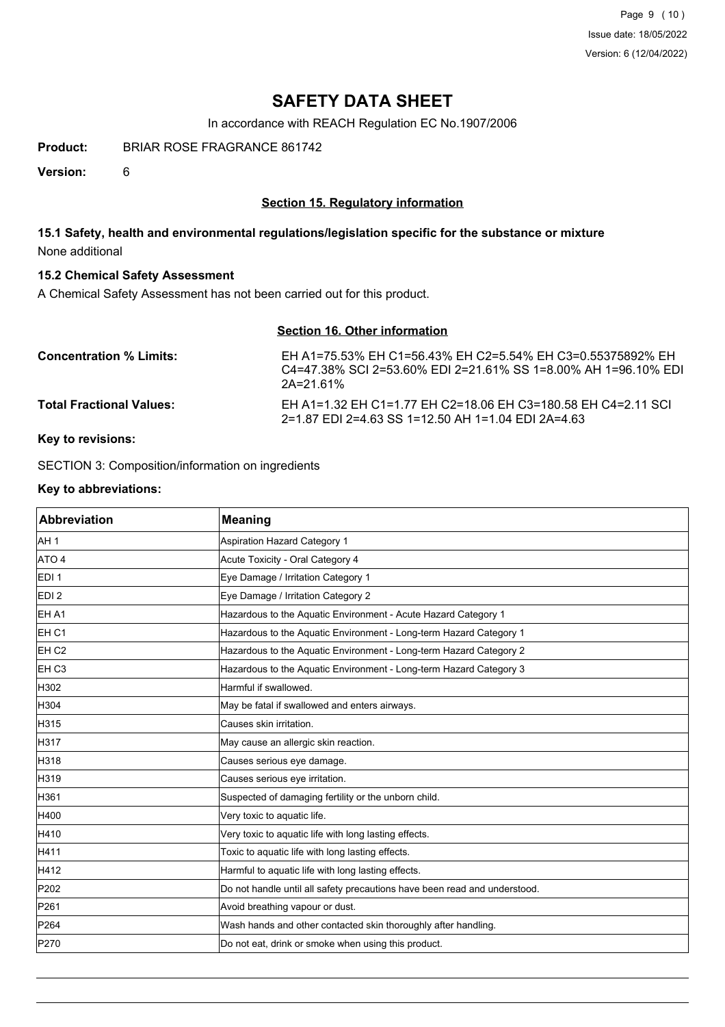Page 9 (10) Issue date: 18/05/2022 Version: 6 (12/04/2022)

# **SAFETY DATA SHEET**

In accordance with REACH Regulation EC No.1907/2006

**Product:** BRIAR ROSE FRAGRANCE 861742

**Version:** 6

# **Section 15. Regulatory information**

# **15.1 Safety, health and environmental regulations/legislation specific for the substance or mixture** None additional

# **15.2 Chemical Safety Assessment**

A Chemical Safety Assessment has not been carried out for this product.

# **Section 16. Other information**

| <b>Concentration % Limits:</b>  | EH A1=75.53% EH C1=56.43% EH C2=5.54% EH C3=0.55375892% EH<br>C4=47.38% SCI 2=53.60% EDI 2=21.61% SS 1=8.00% AH 1=96.10% EDI<br>$2A=2161%$ |
|---------------------------------|--------------------------------------------------------------------------------------------------------------------------------------------|
| <b>Total Fractional Values:</b> | EH A1=1.32 EH C1=1.77 EH C2=18.06 EH C3=180.58 EH C4=2.11 SCI<br>2=1.87 EDI 2=4.63 SS 1=12.50 AH 1=1.04 EDI 2A=4.63                        |

# **Key to revisions:**

SECTION 3: Composition/information on ingredients

#### **Key to abbreviations:**

| <b>Abbreviation</b> | <b>Meaning</b>                                                            |
|---------------------|---------------------------------------------------------------------------|
| AH <sub>1</sub>     | Aspiration Hazard Category 1                                              |
| ATO 4               | Acute Toxicity - Oral Category 4                                          |
| EDI <sub>1</sub>    | Eye Damage / Irritation Category 1                                        |
| EDI <sub>2</sub>    | Eye Damage / Irritation Category 2                                        |
| EH A1               | Hazardous to the Aquatic Environment - Acute Hazard Category 1            |
| EH <sub>C1</sub>    | Hazardous to the Aquatic Environment - Long-term Hazard Category 1        |
| EH <sub>C2</sub>    | Hazardous to the Aquatic Environment - Long-term Hazard Category 2        |
| EH C <sub>3</sub>   | Hazardous to the Aquatic Environment - Long-term Hazard Category 3        |
| H302                | Harmful if swallowed.                                                     |
| H304                | May be fatal if swallowed and enters airways.                             |
| H315                | Causes skin irritation.                                                   |
| H317                | May cause an allergic skin reaction.                                      |
| H318                | Causes serious eye damage.                                                |
| H319                | Causes serious eye irritation.                                            |
| H361                | Suspected of damaging fertility or the unborn child.                      |
| H400                | Very toxic to aquatic life.                                               |
| H410                | Very toxic to aquatic life with long lasting effects.                     |
| H411                | Toxic to aquatic life with long lasting effects.                          |
| H412                | Harmful to aquatic life with long lasting effects.                        |
| P202                | Do not handle until all safety precautions have been read and understood. |
| P261                | Avoid breathing vapour or dust.                                           |
| P <sub>264</sub>    | Wash hands and other contacted skin thoroughly after handling.            |
| P270                | Do not eat, drink or smoke when using this product.                       |